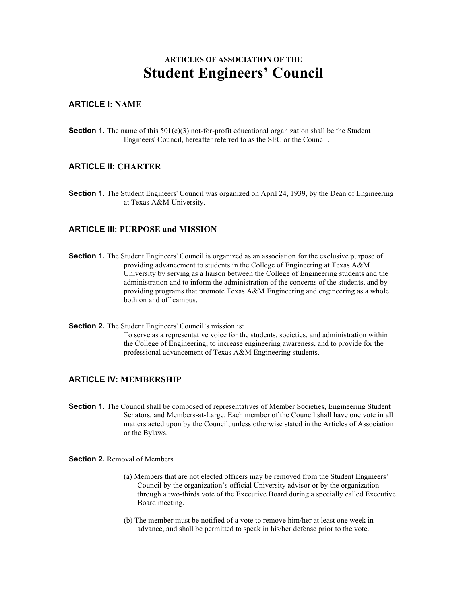# **ARTICLES OF ASSOCIATION OF THE Student Engineers' Council**

#### **ARTICLE I: NAME**

**Section 1.** The name of this 501(c)(3) not-for-profit educational organization shall be the Student Engineers' Council, hereafter referred to as the SEC or the Council.

#### **ARTICLE II: CHARTER**

**Section 1.** The Student Engineers' Council was organized on April 24, 1939, by the Dean of Engineering at Texas A&M University.

#### **ARTICLE III: PURPOSE and MISSION**

- **Section 1.** The Student Engineers' Council is organized as an association for the exclusive purpose of providing advancement to students in the College of Engineering at Texas A&M University by serving as a liaison between the College of Engineering students and the administration and to inform the administration of the concerns of the students, and by providing programs that promote Texas A&M Engineering and engineering as a whole both on and off campus.
- **Section 2.** The Student Engineers' Council's mission is: To serve as a representative voice for the students, societies, and administration within the College of Engineering, to increase engineering awareness, and to provide for the professional advancement of Texas A&M Engineering students.

#### **ARTICLE IV: MEMBERSHIP**

**Section 1.** The Council shall be composed of representatives of Member Societies, Engineering Student Senators, and Members-at-Large. Each member of the Council shall have one vote in all matters acted upon by the Council, unless otherwise stated in the Articles of Association or the Bylaws.

**Section 2. Removal of Members** 

- (a) Members that are not elected officers may be removed from the Student Engineers' Council by the organization's official University advisor or by the organization through a two-thirds vote of the Executive Board during a specially called Executive Board meeting.
- (b) The member must be notified of a vote to remove him/her at least one week in advance, and shall be permitted to speak in his/her defense prior to the vote.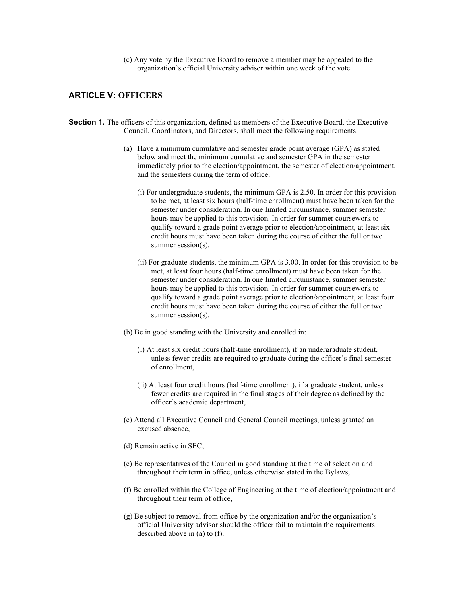(c) Any vote by the Executive Board to remove a member may be appealed to the organization's official University advisor within one week of the vote.

#### **ARTICLE V: OFFICERS**

- **Section 1.** The officers of this organization, defined as members of the Executive Board, the Executive Council, Coordinators, and Directors, shall meet the following requirements:
	- (a) Have a minimum cumulative and semester grade point average (GPA) as stated below and meet the minimum cumulative and semester GPA in the semester immediately prior to the election/appointment, the semester of election/appointment, and the semesters during the term of office.
		- (i) For undergraduate students, the minimum GPA is 2.50. In order for this provision to be met, at least six hours (half-time enrollment) must have been taken for the semester under consideration. In one limited circumstance, summer semester hours may be applied to this provision. In order for summer coursework to qualify toward a grade point average prior to election/appointment, at least six credit hours must have been taken during the course of either the full or two summer session(s).
		- (ii) For graduate students, the minimum GPA is 3.00. In order for this provision to be met, at least four hours (half-time enrollment) must have been taken for the semester under consideration. In one limited circumstance, summer semester hours may be applied to this provision. In order for summer coursework to qualify toward a grade point average prior to election/appointment, at least four credit hours must have been taken during the course of either the full or two summer session(s).
	- (b) Be in good standing with the University and enrolled in:
		- (i) At least six credit hours (half-time enrollment), if an undergraduate student, unless fewer credits are required to graduate during the officer's final semester of enrollment,
		- (ii) At least four credit hours (half-time enrollment), if a graduate student, unless fewer credits are required in the final stages of their degree as defined by the officer's academic department,
	- (c) Attend all Executive Council and General Council meetings, unless granted an excused absence,
	- (d) Remain active in SEC,
	- (e) Be representatives of the Council in good standing at the time of selection and throughout their term in office, unless otherwise stated in the Bylaws,
	- (f) Be enrolled within the College of Engineering at the time of election/appointment and throughout their term of office,
	- (g) Be subject to removal from office by the organization and/or the organization's official University advisor should the officer fail to maintain the requirements described above in (a) to (f).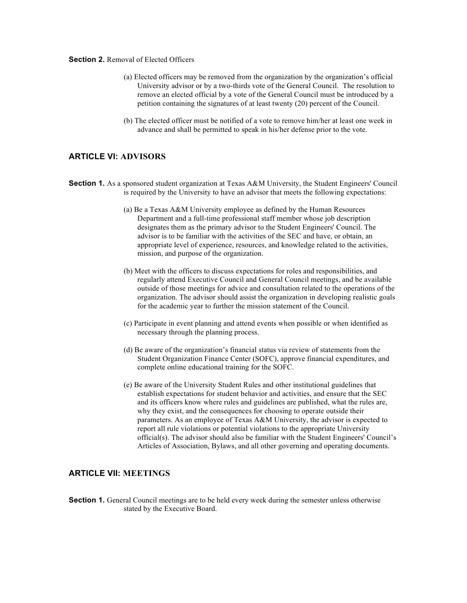#### **Section 2.** Removal of Elected Officers

- (a) Elected officers may be removed from the organization by the organization's official University advisor or by a two-thirds vote of the General Council. The resolution to remove an elected official by a vote of the General Council must be introduced by a petition containing the signatures of at least twenty (20) percent of the Council.
- (b) The elected officer must be notified of a vote to remove him/her at least one week in advance and shall be permitted to speak in his/her defense prior to the vote.

#### **ARTICLE VI: ADVISORS**

- **Section 1.** As a sponsored student organization at Texas A&M University, the Student Engineers' Council is required by the University to have an advisor that meets the following expectations:
	- (a) Be a Texas A&M University employee as defined by the Human Resources Department and a full-time professional staff member whose job description designates them as the primary advisor to the Student Engineers' Council. The advisor is to be familiar with the activities of the SEC and have, or obtain, an appropriate level of experience, resources, and knowledge related to the activities, mission, and purpose of the organization.
	- (b) Meet with the officers to discuss expectations for roles and responsibilities, and regularly attend Executive Council and General Council meetings, and be available outside of those meetings for advice and consultation related to the operations of the organization. The advisor should assist the organization in developing realistic goals for the academic year to further the mission statement of the Council.
	- (c) Participate in event planning and attend events when possible or when identified as necessary through the planning process.
	- (d) Be aware of the organization's financial status via review of statements from the Student Organization Finance Center (SOFC), approve financial expenditures, and complete online educational training for the SOFC.
	- (e) Be aware of the University Student Rules and other institutional guidelines that establish expectations for student behavior and activities, and ensure that the SEC and its officers know where rules and guidelines are published, what the rules are, why they exist, and the consequences for choosing to operate outside their parameters. As an employee of Texas A&M University, the advisor is expected to report all rule violations or potential violations to the appropriate University official(s). The advisor should also be familiar with the Student Engineers' Council's Articles of Association, Bylaws, and all other governing and operating documents.

#### **ARTICLE VII: MEETINGS**

**Section 1.** General Council meetings are to be held every week during the semester unless otherwise stated by the Executive Board.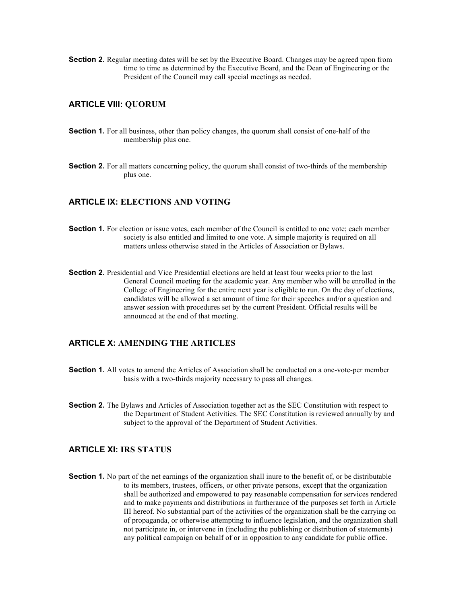**Section 2.** Regular meeting dates will be set by the Executive Board. Changes may be agreed upon from time to time as determined by the Executive Board, and the Dean of Engineering or the President of the Council may call special meetings as needed.

#### **ARTICLE VIII: QUORUM**

- **Section 1.** For all business, other than policy changes, the quorum shall consist of one-half of the membership plus one.
- **Section 2.** For all matters concerning policy, the quorum shall consist of two-thirds of the membership plus one.

#### **ARTICLE IX: ELECTIONS AND VOTING**

- **Section 1.** For election or issue votes, each member of the Council is entitled to one vote; each member society is also entitled and limited to one vote. A simple majority is required on all matters unless otherwise stated in the Articles of Association or Bylaws.
- **Section 2.** Presidential and Vice Presidential elections are held at least four weeks prior to the last General Council meeting for the academic year. Any member who will be enrolled in the College of Engineering for the entire next year is eligible to run. On the day of elections, candidates will be allowed a set amount of time for their speeches and/or a question and answer session with procedures set by the current President. Official results will be announced at the end of that meeting.

### **ARTICLE X: AMENDING THE ARTICLES**

- **Section 1.** All votes to amend the Articles of Association shall be conducted on a one-vote-per member basis with a two-thirds majority necessary to pass all changes.
- **Section 2.** The Bylaws and Articles of Association together act as the SEC Constitution with respect to the Department of Student Activities. The SEC Constitution is reviewed annually by and subject to the approval of the Department of Student Activities.

#### **ARTICLE XI: IRS STATUS**

**Section 1.** No part of the net earnings of the organization shall inure to the benefit of, or be distributable to its members, trustees, officers, or other private persons, except that the organization shall be authorized and empowered to pay reasonable compensation for services rendered and to make payments and distributions in furtherance of the purposes set forth in Article III hereof. No substantial part of the activities of the organization shall be the carrying on of propaganda, or otherwise attempting to influence legislation, and the organization shall not participate in, or intervene in (including the publishing or distribution of statements) any political campaign on behalf of or in opposition to any candidate for public office.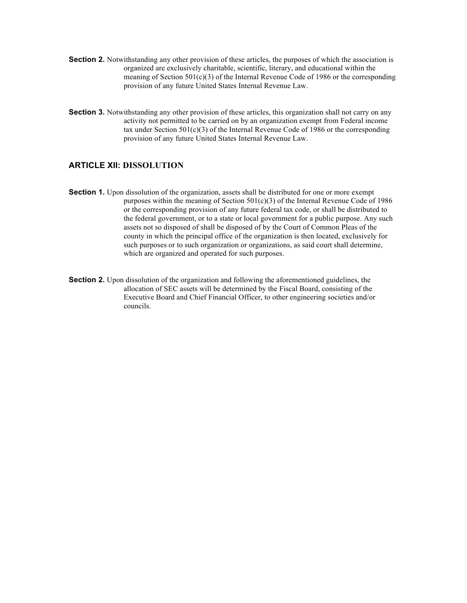- **Section 2.** Notwithstanding any other provision of these articles, the purposes of which the association is organized are exclusively charitable, scientific, literary, and educational within the meaning of Section 501(c)(3) of the Internal Revenue Code of 1986 or the corresponding provision of any future United States Internal Revenue Law.
- **Section 3.** Notwithstanding any other provision of these articles, this organization shall not carry on any activity not permitted to be carried on by an organization exempt from Federal income tax under Section  $501(c)(3)$  of the Internal Revenue Code of 1986 or the corresponding provision of any future United States Internal Revenue Law.

#### **ARTICLE XII: DISSOLUTION**

- **Section 1.** Upon dissolution of the organization, assets shall be distributed for one or more exempt purposes within the meaning of Section  $501(c)(3)$  of the Internal Revenue Code of 1986 or the corresponding provision of any future federal tax code, or shall be distributed to the federal government, or to a state or local government for a public purpose. Any such assets not so disposed of shall be disposed of by the Court of Common Pleas of the county in which the principal office of the organization is then located, exclusively for such purposes or to such organization or organizations, as said court shall determine, which are organized and operated for such purposes.
- **Section 2.** Upon dissolution of the organization and following the aforementioned guidelines, the allocation of SEC assets will be determined by the Fiscal Board, consisting of the Executive Board and Chief Financial Officer, to other engineering societies and/or councils.